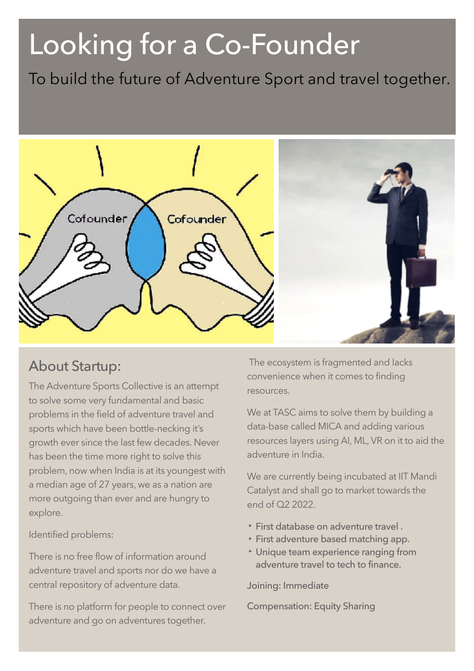# Looking for a Co-Founder

To build the future of Adventure Sport and travel together.



# About Startup:

The Adventure Sports Collective is an attempt to solve some very fundamental and basic problems in the field of adventure travel and sports which have been bottle-necking it's growth ever since the last few decades. Never has been the time more right to solve this problem, now when India is at its youngest with a median age of 27 years, we as a nation are more outgoing than ever and are hungry to explore.

Identified problems:

There is no free flow of information around adventure travel and sports nor do we have a central repository of adventure data.

There is no platform for people to connect over adventure and go on adventures together.

 The ecosystem is fragmented and lacks convenience when it comes to finding resources.

We at TASC aims to solve them by building a data-base called MICA and adding various resources layers using AI, ML, VR on it to aid the adventure in India.

We are currently being incubated at IIT Mandi Catalyst and shall go to market towards the end of Q2 2022.

- **‣** First database on adventure travel .
- **‣** First adventure based matching app.
- **‣** Unique team experience ranging from adventure travel to tech to finance.

Joining: Immediate

Compensation: Equity Sharing